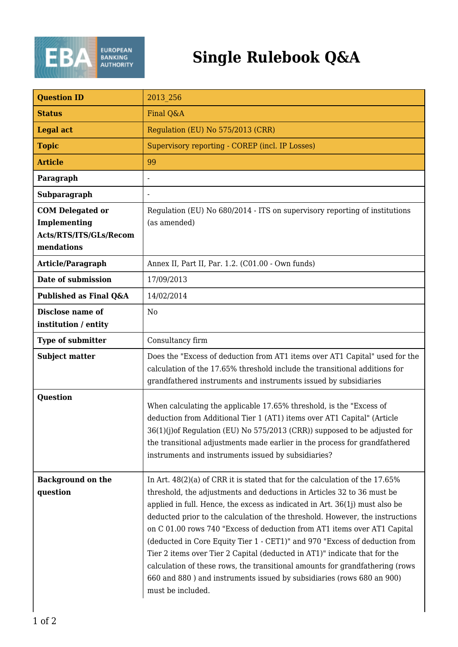

## **Single Rulebook Q&A**

| <b>Question ID</b>                                                              | 2013 256                                                                                                                                                                                                                                                                                                                                                                                                                                                                                                                                                                                                                                                                                                                                     |
|---------------------------------------------------------------------------------|----------------------------------------------------------------------------------------------------------------------------------------------------------------------------------------------------------------------------------------------------------------------------------------------------------------------------------------------------------------------------------------------------------------------------------------------------------------------------------------------------------------------------------------------------------------------------------------------------------------------------------------------------------------------------------------------------------------------------------------------|
| <b>Status</b>                                                                   | Final Q&A                                                                                                                                                                                                                                                                                                                                                                                                                                                                                                                                                                                                                                                                                                                                    |
| <b>Legal act</b>                                                                | Regulation (EU) No 575/2013 (CRR)                                                                                                                                                                                                                                                                                                                                                                                                                                                                                                                                                                                                                                                                                                            |
| <b>Topic</b>                                                                    | Supervisory reporting - COREP (incl. IP Losses)                                                                                                                                                                                                                                                                                                                                                                                                                                                                                                                                                                                                                                                                                              |
| <b>Article</b>                                                                  | 99                                                                                                                                                                                                                                                                                                                                                                                                                                                                                                                                                                                                                                                                                                                                           |
| Paragraph                                                                       |                                                                                                                                                                                                                                                                                                                                                                                                                                                                                                                                                                                                                                                                                                                                              |
| <b>Subparagraph</b>                                                             |                                                                                                                                                                                                                                                                                                                                                                                                                                                                                                                                                                                                                                                                                                                                              |
| <b>COM Delegated or</b><br>Implementing<br>Acts/RTS/ITS/GLs/Recom<br>mendations | Regulation (EU) No 680/2014 - ITS on supervisory reporting of institutions<br>(as amended)                                                                                                                                                                                                                                                                                                                                                                                                                                                                                                                                                                                                                                                   |
| Article/Paragraph                                                               | Annex II, Part II, Par. 1.2. (C01.00 - Own funds)                                                                                                                                                                                                                                                                                                                                                                                                                                                                                                                                                                                                                                                                                            |
| Date of submission                                                              | 17/09/2013                                                                                                                                                                                                                                                                                                                                                                                                                                                                                                                                                                                                                                                                                                                                   |
| Published as Final Q&A                                                          | 14/02/2014                                                                                                                                                                                                                                                                                                                                                                                                                                                                                                                                                                                                                                                                                                                                   |
| Disclose name of<br>institution / entity                                        | N <sub>0</sub>                                                                                                                                                                                                                                                                                                                                                                                                                                                                                                                                                                                                                                                                                                                               |
| <b>Type of submitter</b>                                                        | Consultancy firm                                                                                                                                                                                                                                                                                                                                                                                                                                                                                                                                                                                                                                                                                                                             |
| <b>Subject matter</b>                                                           | Does the "Excess of deduction from AT1 items over AT1 Capital" used for the<br>calculation of the 17.65% threshold include the transitional additions for<br>grandfathered instruments and instruments issued by subsidiaries                                                                                                                                                                                                                                                                                                                                                                                                                                                                                                                |
| <b>Question</b>                                                                 | When calculating the applicable 17.65% threshold, is the "Excess of<br>deduction from Additional Tier 1 (AT1) items over AT1 Capital" (Article<br>36(1)(j)of Regulation (EU) No 575/2013 (CRR)) supposed to be adjusted for<br>the transitional adjustments made earlier in the process for grandfathered<br>instruments and instruments issued by subsidiaries?                                                                                                                                                                                                                                                                                                                                                                             |
| <b>Background on the</b><br>question                                            | In Art. 48(2)(a) of CRR it is stated that for the calculation of the 17.65%<br>threshold, the adjustments and deductions in Articles 32 to 36 must be<br>applied in full. Hence, the excess as indicated in Art. $36(1j)$ must also be<br>deducted prior to the calculation of the threshold. However, the instructions<br>on C 01.00 rows 740 "Excess of deduction from AT1 items over AT1 Capital<br>(deducted in Core Equity Tier 1 - CET1)" and 970 "Excess of deduction from<br>Tier 2 items over Tier 2 Capital (deducted in AT1)" indicate that for the<br>calculation of these rows, the transitional amounts for grandfathering (rows<br>660 and 880) and instruments issued by subsidiaries (rows 680 an 900)<br>must be included. |